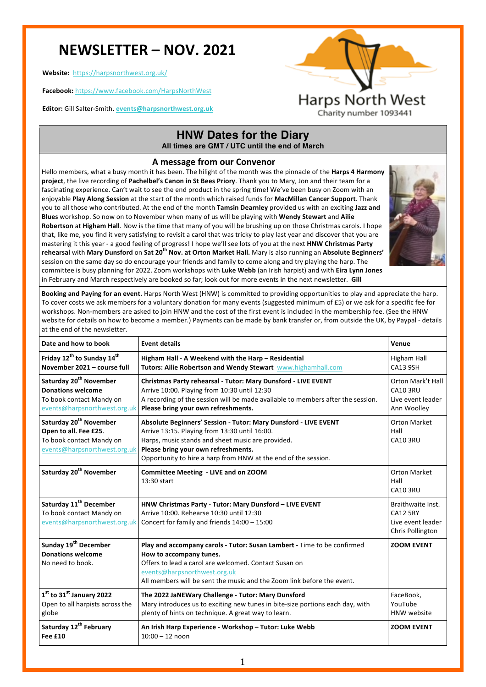# **NEWSLETTER – NOV. 2021**

**Website:**  https://harpsnorthwest.org.uk/

**Facebook:** https://www.facebook.com/HarpsNorthWest

**Editor:** Gill Salter-Smith. **events@harpsnorthwest.org.uk**



Charity number 1093441

### **HNW Dates for the Diary All times are GMT / UTC until the end of March**

### **A message from our Convenor**

Hello members, what a busy month it has been. The hilight of the month was the pinnacle of the **Harps 4 Harmony project**, the live recording of Pachelbel's Canon in St Bees Priory. Thank you to Mary, Jon and their team for a fascinating experience. Can't wait to see the end product in the spring time! We've been busy on Zoom with an enjoyable Play Along Session at the start of the month which raised funds for MacMillan Cancer Support. Thank you to all those who contributed. At the end of the month Tamsin Dearnley provided us with an exciting Jazz and **Blues** workshop. So now on to November when many of us will be playing with **Wendy Stewart** and Ailie **Robertson** at **Higham Hall**. Now is the time that many of you will be brushing up on those Christmas carols. I hope that, like me, you find it very satisfying to revisit a carol that was tricky to play last year and discover that you are mastering it this year - a good feeling of progress! I hope we'll see lots of you at the next **HNW Christmas Party rehearsal with Mary Dunsford** on Sat 20<sup>th</sup> Nov. at Orton Market Hall. Mary is also running an Absolute Beginners' session on the same day so do encourage your friends and family to come along and try playing the harp. The committee is busy planning for 2022. Zoom workshops with Luke Webb (an Irish harpist) and with Eira Lynn Jones in February and March respectively are booked so far; look out for more events in the next newsletter. Gill



**Booking and Paying for an event.** Harps North West (HNW) is committed to providing opportunities to play and appreciate the harp. To cover costs we ask members for a voluntary donation for many events (suggested minimum of £5) or we ask for a specific fee for workshops. Non-members are asked to join HNW and the cost of the first event is included in the membership fee. (See the HNW website for details on how to become a member.) Payments can be made by bank transfer or, from outside the UK, by Paypal - details at the end of the newsletter.

| Date and how to book                                                                                                       | <b>Event details</b>                                                                                                                                                                                                                                                           | Venue                                                                         |
|----------------------------------------------------------------------------------------------------------------------------|--------------------------------------------------------------------------------------------------------------------------------------------------------------------------------------------------------------------------------------------------------------------------------|-------------------------------------------------------------------------------|
| Friday 12 <sup>th</sup> to Sunday 14 <sup>th</sup><br>November 2021 - course full                                          | Higham Hall - A Weekend with the Harp - Residential<br>Tutors: Ailie Robertson and Wendy Stewart www.highamhall.com                                                                                                                                                            | Higham Hall<br><b>CA13 9SH</b>                                                |
| Saturday 20 <sup>th</sup> November<br><b>Donations welcome</b><br>To book contact Mandy on<br>events@harpsnorthwest.org.uk | Christmas Party rehearsal - Tutor: Mary Dunsford - LIVE EVENT<br>Arrive 10:00. Playing from 10:30 until 12:30<br>A recording of the session will be made available to members after the session.<br>Please bring your own refreshments.                                        | Orton Mark't Hall<br><b>CA10 3RU</b><br>Live event leader<br>Ann Woolley      |
| Saturday 20 <sup>th</sup> November<br>Open to all. Fee £25.<br>To book contact Mandy on<br>events@harpsnorthwest.org.uk    | Absolute Beginners' Session - Tutor: Mary Dunsford - LIVE EVENT<br>Arrive 13:15. Playing from 13:30 until 16:00.<br>Harps, music stands and sheet music are provided.<br>Please bring your own refreshments.<br>Opportunity to hire a harp from HNW at the end of the session. | Orton Market<br>Hall<br><b>CA10 3RU</b>                                       |
| Saturday 20 <sup>th</sup> November                                                                                         | Committee Meeting - LIVE and on ZOOM<br>13:30 start                                                                                                                                                                                                                            | Orton Market<br>Hall<br><b>CA10 3RU</b>                                       |
| Saturday 11 <sup>th</sup> December<br>To book contact Mandy on<br>events@harpsnorthwest.org.uk                             | HNW Christmas Party - Tutor: Mary Dunsford - LIVE EVENT<br>Arrive 10:00. Rehearse 10:30 until 12:30<br>Concert for family and friends 14:00 - 15:00                                                                                                                            | Braithwaite Inst.<br><b>CA12 5RY</b><br>Live event leader<br>Chris Pollington |
| Sunday 19 <sup>th</sup> December<br><b>Donations welcome</b><br>No need to book.                                           | Play and accompany carols - Tutor: Susan Lambert - Time to be confirmed<br>How to accompany tunes.<br>Offers to lead a carol are welcomed. Contact Susan on<br>events@harpsnorthwest.org.uk<br>All members will be sent the music and the Zoom link before the event.          | <b>ZOOM EVENT</b>                                                             |
| 1st to 31st January 2022<br>Open to all harpists across the<br>globe                                                       | The 2022 JaNEWary Challenge - Tutor: Mary Dunsford<br>Mary introduces us to exciting new tunes in bite-size portions each day, with<br>plenty of hints on technique. A great way to learn.                                                                                     | FaceBook,<br>YouTube<br>HNW website                                           |
| Saturday 12 <sup>th</sup> February<br>Fee £10                                                                              | An Irish Harp Experience - Workshop - Tutor: Luke Webb<br>$10:00 - 12$ noon                                                                                                                                                                                                    | <b>ZOOM EVENT</b>                                                             |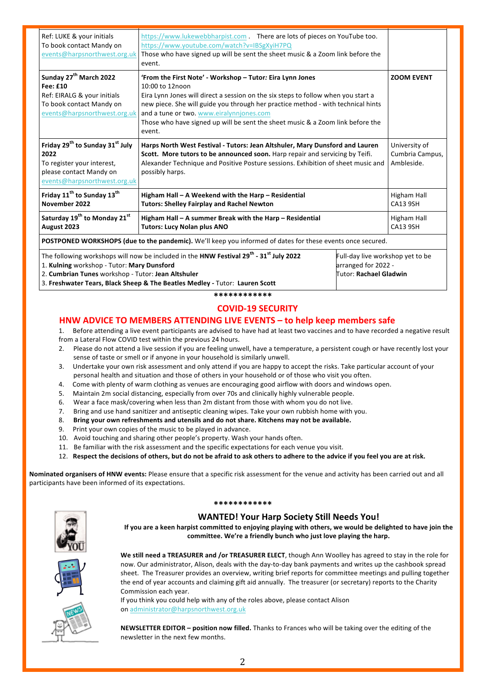| Ref: LUKE & your initials<br>To book contact Mandy on<br>events@harpsnorthwest.org.uk                                                                                                                                   | https://www.lukewebbharpist.com There are lots of pieces on YouTube too.<br>https://www.youtube.com/watch?v=IBSgXyiH7PQ<br>Those who have signed up will be sent the sheet music & a Zoom link before the<br>event.                                                                                                                                                                           |  |                                                |  |  |
|-------------------------------------------------------------------------------------------------------------------------------------------------------------------------------------------------------------------------|-----------------------------------------------------------------------------------------------------------------------------------------------------------------------------------------------------------------------------------------------------------------------------------------------------------------------------------------------------------------------------------------------|--|------------------------------------------------|--|--|
| Sunday 27 <sup>th</sup> March 2022<br>Fee: £10<br>Ref: EIRALG & your initials<br>To book contact Mandy on<br>events@harpsnorthwest.org.uk                                                                               | 'From the First Note' - Workshop - Tutor: Eira Lynn Jones<br>10:00 to 12noon<br>Eira Lynn Jones will direct a session on the six steps to follow when you start a<br>new piece. She will guide you through her practice method - with technical hints<br>and a tune or two. www.eiralynnjones.com<br>Those who have signed up will be sent the sheet music & a Zoom link before the<br>event. |  | <b>ZOOM EVENT</b>                              |  |  |
| Friday 29 <sup>th</sup> to Sunday 31 <sup>st</sup> July<br>2022<br>To register your interest,<br>please contact Mandy on<br>events@harpsnorthwest.org.uk                                                                | Harps North West Festival - Tutors: Jean Altshuler, Mary Dunsford and Lauren<br>Scott. More tutors to be announced soon. Harp repair and servicing by Teifi.<br>Alexander Technique and Positive Posture sessions. Exhibition of sheet music and<br>possibly harps.                                                                                                                           |  | University of<br>Cumbria Campus,<br>Ambleside. |  |  |
| Friday 11 <sup>th</sup> to Sunday 13 <sup>th</sup><br>November 2022                                                                                                                                                     | Higham Hall - A Weekend with the Harp - Residential<br><b>Tutors: Shelley Fairplay and Rachel Newton</b>                                                                                                                                                                                                                                                                                      |  | Higham Hall<br><b>CA13 9SH</b>                 |  |  |
| Saturday 19 <sup>th</sup> to Monday 21 <sup>st</sup><br>August 2023                                                                                                                                                     | Higham Hall - A summer Break with the Harp - Residential<br><b>Tutors: Lucy Nolan plus ANO</b>                                                                                                                                                                                                                                                                                                |  | Higham Hall<br><b>CA13 9SH</b>                 |  |  |
| POSTPONED WORKSHOPS (due to the pandemic). We'll keep you informed of dates for these events once secured.                                                                                                              |                                                                                                                                                                                                                                                                                                                                                                                               |  |                                                |  |  |
| The following workshops will now be included in the HNW Festival 29 <sup>th</sup> - 31 <sup>st</sup> July 2022<br>Full-day live workshop yet to be<br>1. Kulning workshop - Tutor: Mary Dunsford<br>arranged for 2022 - |                                                                                                                                                                                                                                                                                                                                                                                               |  |                                                |  |  |

2. **Cumbrian Tunes** workshop - Tutor: **Jean Altshuler**

3. **Freshwater Tears, Black Sheep & The Beatles Medley -** Tutor: **Lauren Scott** 

**\*\*\*\*\*\*\*\*\*\*\*\***

### **COVID-19 SECURITY**

Tutor: **Rachael Gladwin**

#### **HNW ADVICE TO MEMBERS ATTENDING LIVE EVENTS – to help keep members safe**

1. Before attending a live event participants are advised to have had at least two vaccines and to have recorded a negative result from a Lateral Flow COVID test within the previous 24 hours.

- 2. Please do not attend a live session if you are feeling unwell, have a temperature, a persistent cough or have recently lost your sense of taste or smell or if anyone in your household is similarly unwell.
- 3. Undertake your own risk assessment and only attend if you are happy to accept the risks. Take particular account of your personal health and situation and those of others in your household or of those who visit you often.
- 4. Come with plenty of warm clothing as venues are encouraging good airflow with doors and windows open.
- 5. Maintain 2m social distancing, especially from over 70s and clinically highly vulnerable people.
- 6. Wear a face mask/covering when less than 2m distant from those with whom you do not live.
- 7. Bring and use hand sanitizer and antiseptic cleaning wipes. Take your own rubbish home with you.
- 8. Bring your own refreshments and utensils and do not share. Kitchens may not be available.
- 9. Print your own copies of the music to be played in advance.
- 10. Avoid touching and sharing other people's property. Wash your hands often.
- 11. Be familiar with the risk assessment and the specific expectations for each venue you visit.
- 12. Respect the decisions of others, but do not be afraid to ask others to adhere to the advice if you feel you are at risk.

Nominated organisers of HNW events: Please ensure that a specific risk assessment for the venue and activity has been carried out and all participants have been informed of its expectations.



#### **\*\*\*\*\*\*\*\*\*\*\*\***

#### **WANTED! Your Harp Society Still Needs You!**

If you are a keen harpist committed to enjoying playing with others, we would be delighted to have join the committee. We're a friendly bunch who just love playing the harp.



We still need a TREASURER and /or TREASURER ELECT, though Ann Woolley has agreed to stay in the role for now. Our administrator, Alison, deals with the day-to-day bank payments and writes up the cashbook spread sheet. The Treasurer provides an overview, writing brief reports for committee meetings and pulling together the end of year accounts and claiming gift aid annually. The treasurer (or secretary) reports to the Charity Commission each year.

If you think you could help with any of the roles above, please contact Alison on administrator@harpsnorthwest.org.uk

**NEWSLETTER EDITOR - position now filled.** Thanks to Frances who will be taking over the editing of the newsletter in the next few months.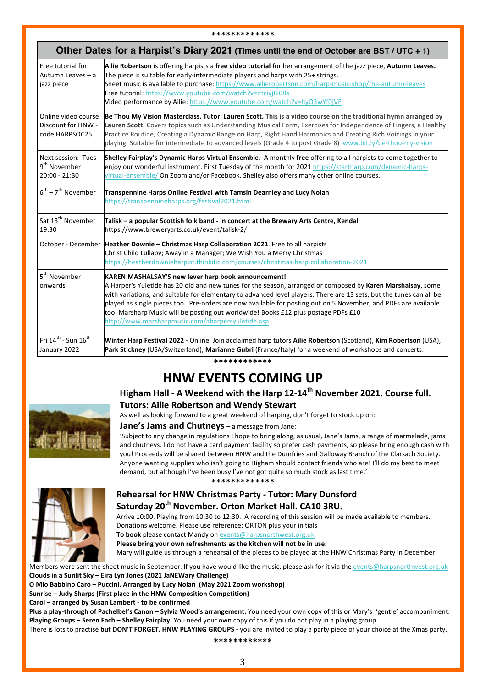| Other Dates for a Harpist's Diary 2021 (Times until the end of October are BST / UTC + 1) |                                                                                                                                                                                                                                                                                                                                                                                                                                                                                                                                                         |  |  |
|-------------------------------------------------------------------------------------------|---------------------------------------------------------------------------------------------------------------------------------------------------------------------------------------------------------------------------------------------------------------------------------------------------------------------------------------------------------------------------------------------------------------------------------------------------------------------------------------------------------------------------------------------------------|--|--|
| Free tutorial for<br>Autumn Leaves - a<br>jazz piece                                      | Ailie Robertson is offering harpists a free video tutorial for her arrangement of the jazz piece, Autumn Leaves.<br>The piece is suitable for early-intermediate players and harps with 25+ strings.<br>Sheet music is available to purchase: https://www.ailierobertson.com/harp-music-shop/the-autumn-leaves<br>Free tutorial: https://www.youtube.com/watch?v=dtciyj8i08s<br>Video performance by Ailie: https://www.youtube.com/watch?v=hyQ3wYf0jVE                                                                                                 |  |  |
| Online video course<br>Discount for HNW -<br>code HARPSOC25                               | Be Thou My Vision Masterclass. Tutor: Lauren Scott. This is a video course on the traditional hymn arranged by<br>Lauren Scott. Covers topics such as Understanding Musical Form, Exercises for Independence of Fingers, a Healthy<br>Practice Routine, Creating a Dynamic Range on Harp, Right Hand Harmonics and Creating Rich Voicings in your<br>playing. Suitable for intermediate to advanced levels (Grade 4 to post Grade 8) www.bit.ly/be-thou-my-vision                                                                                       |  |  |
| Next session: Tues<br>9 <sup>th</sup> November<br>20:00 - 21:30                           | Shelley Fairplay's Dynamic Harps Virtual Ensemble. A monthly free offering to all harpists to come together to<br>enjoy our wonderful instrument. First Tuesday of the month for 2021 https://startharp.com/dynamic-harps-<br>virtual-ensemble/ On Zoom and/or Facebook. Shelley also offers many other online courses.                                                                                                                                                                                                                                 |  |  |
| $6^{\text{th}}$ – 7 <sup>th</sup> November                                                | Transpennine Harps Online Festival with Tamsin Dearnley and Lucy Nolan<br>https://transpennineharps.org/festival2021.html                                                                                                                                                                                                                                                                                                                                                                                                                               |  |  |
| Sat 13 <sup>th</sup> November<br>19:30                                                    | Talisk – a popular Scottish folk band - in concert at the Brewary Arts Centre, Kendal<br>https://www.breweryarts.co.uk/event/talisk-2/                                                                                                                                                                                                                                                                                                                                                                                                                  |  |  |
|                                                                                           | October - December Heather Downie - Christmas Harp Collaboration 2021. Free to all harpists<br>Christ Child Lullaby; Away in a Manager; We Wish You a Merry Christmas<br>https://heatherdownieharpist.thinkific.com/courses/christmas-harp-collaboration-2021                                                                                                                                                                                                                                                                                           |  |  |
| 5 <sup>th</sup> November<br>onwards                                                       | KAREN MASHALSAY'S new lever harp book announcement!<br>A Harper's Yuletide has 20 old and new tunes for the season, arranged or composed by Karen Marshalsay, some<br>with variations, and suitable for elementary to advanced level players. There are 13 sets, but the tunes can all be<br>played as single pieces too. Pre-orders are now available for posting out on 5 November, and PDFs are available<br>too. Marsharp Music will be posting out worldwide! Books £12 plus postage PDFs £10<br>http://www.marsharpmusic.com/aharpersyuletide.asp |  |  |
| Fri 14 $^{\rm th}$ - Sun 16 $^{\rm th}$<br>January 2022                                   | Winter Harp Festival 2022 - Online. Join acclaimed harp tutors Ailie Robertson (Scotland), Kim Robertson (USA),<br>Park Stickney (USA/Switzerland), Marianne Gubri (France/Italy) for a weekend of workshops and concerts.                                                                                                                                                                                                                                                                                                                              |  |  |

#### **\*\*\*\*\*\*\*\*\*\*\*\***

# **HNW EVENTS COMING UP**

# Higham Hall - A Weekend with the Harp 12-14<sup>th</sup> November 2021. Course full. **Tutors: Ailie Robertson and Wendy Stewart**



#### As well as looking forward to a great weekend of harping, don't forget to stock up on: **Jane's Jams and Chutneys** – a message from Jane:

'Subject to any change in regulations I hope to bring along, as usual, Jane's Jams, a range of marmalade, jams and chutneys. I do not have a card payment facility so prefer cash payments, so please bring enough cash with you! Proceeds will be shared between HNW and the Dumfries and Galloway Branch of the Clarsach Society. Anyone wanting supplies who isn't going to Higham should contact friends who are! I'll do my best to meet demand, but although I've been busy I've not got quite so much stock as last time.'

**\*\*\*\*\*\*\*\*\*\*\*\*\***



### **Rehearsal for HNW Christmas Party - Tutor: Mary Dunsford** Saturday 20<sup>th</sup> November. Orton Market Hall. CA10 3RU.

Arrive 10:00. Playing from 10:30 to 12:30. A recording of this session will be made available to members. Donations welcome. Please use reference: ORTON plus your initials

To book please contact Mandy on events@harpsnorthwest.org.uk

Please bring your own refreshments as the kitchen will not be in use. Mary will guide us through a rehearsal of the pieces to be played at the HNW Christmas Party in December.

Members were sent the sheet music in September. If you have would like the music, please ask for it via the events@harpsnorthwest.org.uk Clouds in a Sunlit Sky - Eira Lyn Jones (2021 JaNEWary Challenge)

**O** Mio Babbino Caro – Puccini. Arranged by Lucy Nolan (May 2021 Zoom workshop)

**Sunrise – Judy Sharps (First place in the HNW Composition Competition)** 

Carol – arranged by Susan Lambert - to be confirmed

Plus a play-through of Pachelbel's Canon - Sylvia Wood's arrangement. You need your own copy of this or Mary's 'gentle' accompaniment. **Playing Groups – Seren Fach – Shelley Fairplay.** You need your own copy of this if you do not play in a playing group.

There is lots to practise **but DON'T FORGET, HNW PLAYING GROUPS** - you are invited to play a party piece of your choice at the Xmas party.

**\*\*\*\*\*\*\*\*\*\*\*\***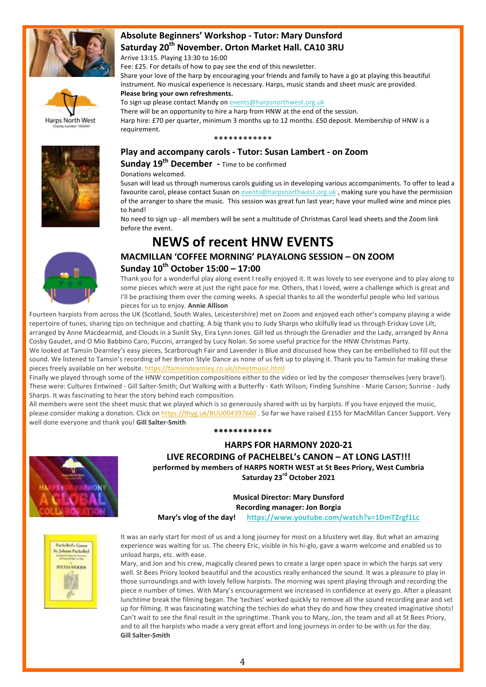



# **Absolute Beginners' Workshop - Tutor: Mary Dunsford** Saturday 20<sup>th</sup> November. Orton Market Hall. CA10 3RU

Arrive 13:15. Playing 13:30 to 16:00

Fee: £25. For details of how to pay see the end of this newsletter.

Share your love of the harp by encouraging your friends and family to have a go at playing this beautiful instrument. No musical experience is necessary. Harps, music stands and sheet music are provided.

#### Please bring your own refreshments.

To sign up please contact Mandy on events@harpsnorthwest.org.uk

There will be an opportunity to hire a harp from HNW at the end of the session. Harp hire: £70 per quarter, minimum 3 months up to 12 months. £50 deposit. Membership of HNW is a requirement.

#### \*\*\*\*\*\*\*\*\*\*\*\*



# **Play and accompany carols - Tutor: Susan Lambert - on Zoom**

**Sunday 19<sup>th</sup> December** - Time to be confirmed

Donations welcomed.

Susan will lead us through numerous carols guiding us in developing various accompaniments. To offer to lead a favourite carol, please contact Susan on events@harpsnorthwest.org.uk, making sure you have the permission of the arranger to share the music. This session was great fun last year; have your mulled wine and mince pies to hand!

No need to sign up - all members will be sent a multitude of Christmas Carol lead sheets and the Zoom link before the event.

# **MACMILLAN 'COFFEE MORNING' PLAYALONG SESSION – ON ZOOM Sunday 10th October 15:00 – 17:00**

**NEWS of recent HNW EVENTS**

Thank you for a wonderful play along event I really enjoyed it. It was lovely to see everyone and to play along to some pieces which were at just the right pace for me. Others, that I loved, were a challenge which is great and I'll be practising them over the coming weeks. A special thanks to all the wonderful people who led various pieces for us to enjoy. **Annie Allison**

Fourteen harpists from across the UK (Scotland, South Wales, Leicestershire) met on Zoom and enjoyed each other's company playing a wide repertoire of tunes, sharing tips on technique and chatting. A big thank you to Judy Sharps who skilfully lead us through Eriskay Love Lilt, arranged by Anne Macdearmid, and Clouds in a Sunlit Sky, Eira Lynn Jones. Gill led us through the Grenadier and the Lady, arranged by Anna Cosby Gaudet, and O Mio Babbino Caro, Puccini, arranged by Lucy Nolan. So some useful practice for the HNW Christmas Party. We looked at Tamsin Dearnley's easy pieces, Scarborough Fair and Lavender is Blue and discussed how they can be embellished to fill out the

sound. We listened to Tamsin's recording of her Breton Style Dance as none of us felt up to playing it. Thank you to Tamsin for making these pieces freely available on her website. https://tamsindearnley.co.uk/sheetmusic.html

Finally we played through some of the HNW competition compositions either to the video or led by the composer themselves (very brave!). These were: Cultures Entwined - Gill Salter-Smith; Out Walking with a Butterfly - Kath Wilson; Finding Sunshine - Marie Carson; Sunrise - Judy Sharps. It was fascinating to hear the story behind each composition.

All members were sent the sheet music that we played which is so generously shared with us by harpists. If you have enjoyed the music, please consider making a donation. Click on https://thyg.uk/BUU004397660. So far we have raised £155 for MacMillan Cancer Support. Very well done everyone and thank you! Gill Salter-Smith

**\*\*\*\*\*\*\*\*\*\*\*\***

# **HARPS FOR HARMONY 2020-21**

LIVE RECORDING of PACHELBEL's CANON – AT LONG LAST!!! performed by members of HARPS NORTH WEST at St Bees Priory, West Cumbria **Saturday 23rd October 2021** 

> **Musical Director: Mary Dunsford Recording manager: Jon Borgia**

**Mary's vlog of the day!** https://www.youtube.com/watch?v=1DmTZrgf1Lc



It was an early start for most of us and a long journey for most on a blustery wet day. But what an amazing experience was waiting for us. The cheery Eric, visible in his hi-glo, gave a warm welcome and enabled us to unload harps, etc. with ease.

Mary, and Jon and his crew, magically cleared pews to create a large open space in which the harps sat very well. St Bees Priory looked beautiful and the acoustics really enhanced the sound. It was a pleasure to play in those surroundings and with lovely fellow harpists. The morning was spent playing through and recording the piece *n* number of times. With Mary's encouragement we increased in confidence at every go. After a pleasant lunchtime break the filming began. The 'techies' worked quickly to remove all the sound recording gear and set up for filming. It was fascinating watching the techies do what they do and how they created imaginative shots! Can't wait to see the final result in the springtime. Thank you to Mary, Jon, the team and all at St Bees Priory, and to all the harpists who made a very great effort and long journeys in order to be with us for the day. **Gill Salter-Smith**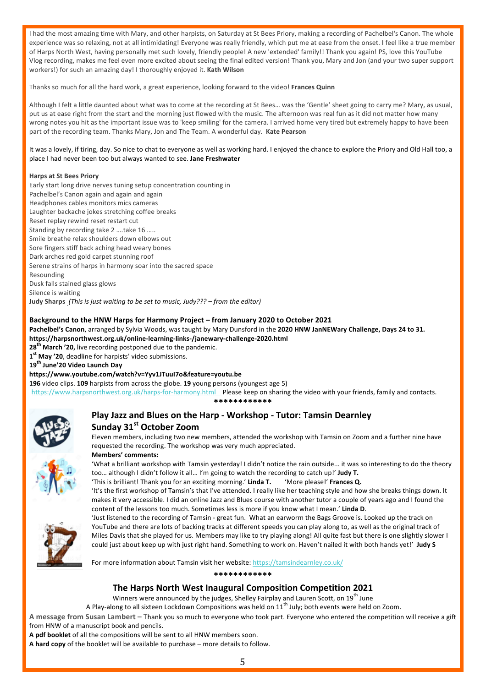I had the most amazing time with Mary, and other harpists, on Saturday at St Bees Priory, making a recording of Pachelbel's Canon. The whole experience was so relaxing, not at all intimidating! Everyone was really friendly, which put me at ease from the onset. I feel like a true member of Harps North West, having personally met such lovely, friendly people! A new 'extended' family!! Thank you again! PS, love this YouTube Vlog recording, makes me feel even more excited about seeing the final edited version! Thank you, Mary and Jon (and your two super support workers!) for such an amazing day! I thoroughly enjoyed it. Kath Wilson

Thanks so much for all the hard work, a great experience, looking forward to the video! **Frances Quinn** 

Although I felt a little daunted about what was to come at the recording at St Bees... was the 'Gentle' sheet going to carry me? Mary, as usual, put us at ease right from the start and the morning just flowed with the music. The afternoon was real fun as it did not matter how many wrong notes you hit as the important issue was to 'keep smiling' for the camera. I arrived home very tired but extremely happy to have been part of the recording team. Thanks Mary, Jon and The Team. A wonderful day. Kate Pearson

It was a lovely, if tiring, day. So nice to chat to everyone as well as working hard. I enjoyed the chance to explore the Priory and Old Hall too, a place I had never been too but always wanted to see. Jane Freshwater

#### **Harps at St Bees Priory**

Early start long drive nerves tuning setup concentration counting in Pachelbel's Canon again and again and again Headphones cables monitors mics cameras Laughter backache jokes stretching coffee breaks Reset replay rewind reset restart cut Standing by recording take 2 ....take 16 ..... Smile breathe relax shoulders down elbows out Sore fingers stiff back aching head weary bones Dark arches red gold carpet stunning roof Serene strains of harps in harmony soar into the sacred space Resounding Dusk falls stained glass glows Silence is waiting **Judy Sharps** (This is just waiting to be set to music, Judy??? – from the editor)

#### Background to the HNW Harps for Harmony Project – from January 2020 to October 2021

Pachelbel's Canon, arranged by Sylvia Woods, was taught by Mary Dunsford in the 2020 HNW JanNEWary Challenge, Days 24 to 31. **https://harpsnorthwest.org.uk/online-learning-links-/janewary-challenge-2020.html**

28<sup>th</sup> March '20, live recording postponed due to the pandemic.

1<sup>st</sup> May '20, deadline for harpists' video submissions.

**19th June'20 Video Launch Day** 

#### **https://www.youtube.com/watch?v=Yyv1JTuuI7o&feature=youtu.be**

**196** video clips. **109** harpists from across the globe. **19** young persons (youngest age 5) https://www.harpsnorthwest.org.uk/harps-for-harmony.html Please keep on sharing the video with your friends, family and contacts.

**\*\*\*\*\*\*\*\*\*\*\*\***



### **Play Jazz and Blues on the Harp - Workshop - Tutor: Tamsin Dearnley Sunday 31st October Zoom**

Eleven members, including two new members, attended the workshop with Tamsin on Zoom and a further nine have requested the recording. The workshop was very much appreciated.

# **Members' comments:**

'What a brilliant workshop with Tamsin yesterday! I didn't notice the rain outside... it was so interesting to do the theory too... although I didn't follow it all... I'm going to watch the recording to catch up!' Judy T.

'This is brilliant! Thank you for an exciting morning.' Linda T. 'More please!' Frances Q.

'It's the first workshop of Tamsin's that I've attended. I really like her teaching style and how she breaks things down. It makes it very accessible. I did an online Jazz and Blues course with another tutor a couple of years ago and I found the content of the lessons too much. Sometimes less is more if you know what I mean.' Linda D.



'Just listened to the recording of Tamsin - great fun. What an earworm the Bags Groove is. Looked up the track on YouTube and there are lots of backing tracks at different speeds you can play along to, as well as the original track of Miles Davis that she played for us. Members may like to try playing along! All quite fast but there is one slightly slower I could just about keep up with just right hand. Something to work on. Haven't nailed it with both hands yet!' Judy S

For more information about Tamsin visit her website: https://tamsindearnley.co.uk/

**\*\*\*\*\*\*\*\*\*\*\*\***

### **The Harps North West Inaugural Composition Competition 2021**

Winners were announced by the judges, Shelley Fairplay and Lauren Scott, on 19<sup>th</sup> June

A Play-along to all sixteen Lockdown Compositions was held on  $11^{th}$  July; both events were held on Zoom.

A message from Susan Lambert - Thank you so much to everyone who took part. Everyone who entered the competition will receive a gift from HNW of a manuscript book and pencils.

A pdf booklet of all the compositions will be sent to all HNW members soon.

**A hard copy** of the booklet will be available to purchase – more details to follow.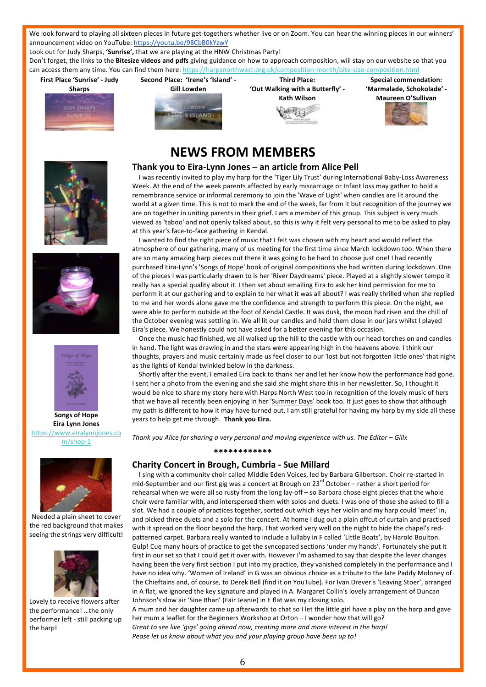We look forward to playing all sixteen pieces in future get-togethers whether live or on Zoom. You can hear the winning pieces in our winners' announcement video on YouTube: https://youtu.be/98CbB0kYzwY

Look out for Judy Sharps, 'Sunrise', that we are playing at the HNW Christmas Party!

Don't forget, the links to the Bitesize videos and pdfs giving guidance on how to approach composition, will stay on our website so that you can access them any time. You can find them here: https://harpsnorthwest.org.uk/composition-month/bite-size-composition.html

**First Place 'Sunrise' - Judy Sharps**





**Third Place: 'Out Walking with a Butterfly' - Kath Wilson** 



**Special commendation: 'Marmalade, Schokolade' - Maureen O'Sullivan**



# **NEWS FROM MEMBERS**







**Songs of Hope Eira Lynn Jones** https://www.eiralynnjones.co m/shop-1



Needed a plain sheet to cover the red background that makes seeing the strings very difficult!



Lovely to receive flowers after the performance! ...the only performer left - still packing up the harp!

# **Thank vou to Eira-Lynn Jones – an article from Alice Pell**

I was recently invited to play my harp for the 'Tiger Lily Trust' during International Baby-Loss Awareness Week. At the end of the week parents affected by early miscarriage or Infant loss may gather to hold a remembrance service or informal ceremony to join the 'Wave of Light' when candles are lit around the world at a given time. This is not to mark the end of the week, far from it but recognition of the journey we are on together in uniting parents in their grief. I am a member of this group. This subject is very much viewed as 'taboo' and not openly talked about, so this is why it felt very personal to me to be asked to play at this year's face-to-face gathering in Kendal.

I wanted to find the right piece of music that I felt was chosen with my heart and would reflect the atmosphere of our gathering, many of us meeting for the first time since March lockdown too. When there are so many amazing harp pieces out there it was going to be hard to choose just one! I had recently purchased Eira-Lynn's 'Songs of Hope' book of original compositions she had written during lockdown. One of the pieces I was particularly drawn to is her 'River Daydreams' piece. Played at a slightly slower tempo it really has a special quality about it. I then set about emailing Eira to ask her kind permission for me to perform it at our gathering and to explain to her what it was all about? I was really thrilled when she replied to me and her words alone gave me the confidence and strength to perform this piece. On the night, we were able to perform outside at the foot of Kendal Castle. It was dusk, the moon had risen and the chill of the October evening was settling in. We all lit our candles and held them close in our jars whilst I played Eira's piece. We honestly could not have asked for a better evening for this occasion.

Once the music had finished, we all walked up the hill to the castle with our head torches on and candles in hand. The light was drawing in and the stars were appearing high in the heavens above. I think our thoughts, prayers and music certainly made us feel closer to our 'lost but not forgotten little ones' that night as the lights of Kendal twinkled below in the darkness.

Shortly after the event, I emailed Eira back to thank her and let her know how the performance had gone. I sent her a photo from the evening and she said she might share this in her newsletter. So, I thought it would be nice to share my story here with Harps North West too in recognition of the lovely music of hers that we have all recently been enjoying in her 'Summer Days' book too. It just goes to show that although my path is different to how it may have turned out, I am still grateful for having my harp by my side all these years to help get me through. Thank you Eira.

*Thank you Alice for sharing a very personal and moving experience with us. The Editor – Gillx* 

#### **\*\*\*\*\*\*\*\*\*\*\*\***

### **Charity Concert in Brough, Cumbria - Sue Millard**

I sing with a community choir called Middle Eden Voices, led by Barbara Gilbertson. Choir re-started in mid-September and our first gig was a concert at Brough on 23<sup>rd</sup> October – rather a short period for rehearsal when we were all so rusty from the long lay-off – so Barbara chose eight pieces that the whole choir were familiar with, and interspersed them with solos and duets. I was one of those she asked to fill a slot. We had a couple of practices together, sorted out which keys her violin and my harp could 'meet' in, and picked three duets and a solo for the concert. At home I dug out a plain offcut of curtain and practised with it spread on the floor beyond the harp. That worked very well on the night to hide the chapel's redpatterned carpet. Barbara really wanted to include a lullaby in F called 'Little Boats', by Harold Boulton. Gulp! Cue many hours of practice to get the syncopated sections 'under my hands'. Fortunately she put it first in our set so that I could get it over with. However I'm ashamed to say that despite the lever changes having been the very first section I put into my practice, they vanished completely in the performance and I have no idea why. 'Women of Ireland' in G was an obvious choice as a tribute to the late Paddy Moloney of The Chieftains and, of course, to Derek Bell (find it on YouTube). For Ivan Drever's 'Leaving Stoer', arranged in A flat, we ignored the key signature and played in A. Margaret Collin's lovely arrangement of Duncan Johnson's slow air 'Sine Bhan' (Fair Jeanie) in E flat was my closing solo.

A mum and her daughter came up afterwards to chat so I let the little girl have a play on the harp and gave her mum a leaflet for the Beginners Workshop at Orton - I wonder how that will go? Great to see live 'gigs' going ahead now, creating more and more interest in the harp! Pease let us know about what you and your playing group have been up to!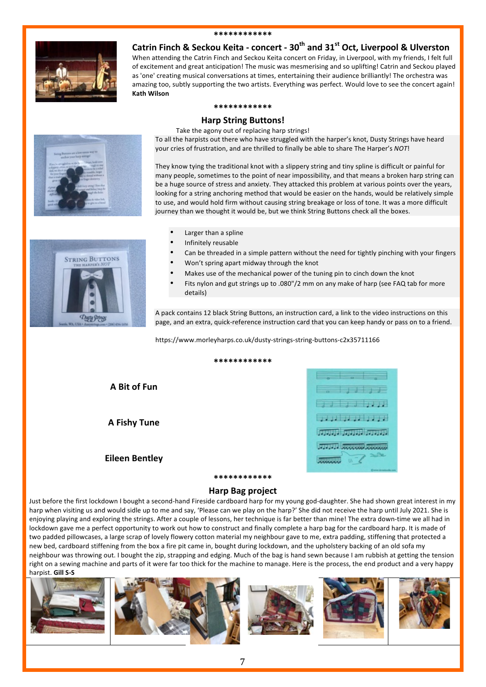#### **\*\*\*\*\*\*\*\*\*\*\*\***



**Catrin Finch & Seckou Keita - concert - 30<sup>th</sup> and 31<sup>st</sup> Oct, Liverpool & Ulverston** 

When attending the Catrin Finch and Seckou Keita concert on Friday, in Liverpool, with my friends, I felt full of excitement and great anticipation! The music was mesmerising and so uplifting! Catrin and Seckou played as 'one' creating musical conversations at times, entertaining their audience brilliantly! The orchestra was amazing too, subtly supporting the two artists. Everything was perfect. Would love to see the concert again! **Kath Wilson**

#### **\*\*\*\*\*\*\*\*\*\*\*\***

#### **Harp String Buttons!**

Take the agony out of replacing harp strings!

To all the harpists out there who have struggled with the harper's knot, Dusty Strings have heard your cries of frustration, and are thrilled to finally be able to share The Harper's *NOT*!



They know tying the traditional knot with a slippery string and tiny spline is difficult or painful for many people, sometimes to the point of near impossibility, and that means a broken harp string can be a huge source of stress and anxiety. They attacked this problem at various points over the years, looking for a string anchoring method that would be easier on the hands, would be relatively simple to use, and would hold firm without causing string breakage or loss of tone. It was a more difficult journey than we thought it would be, but we think String Buttons check all the boxes.



- Larger than a spline
- Infinitely reusable
- Can be threaded in a simple pattern without the need for tightly pinching with your fingers
- Won't spring apart midway through the knot
- Makes use of the mechanical power of the tuning pin to cinch down the knot
- Fits nylon and gut strings up to  $.080$ "/2 mm on any make of harp (see FAQ tab for more details)

A pack contains 12 black String Buttons, an instruction card, a link to the video instructions on this page, and an extra, quick-reference instruction card that you can keep handy or pass on to a friend.

https://www.morleyharps.co.uk/dusty-strings-string-buttons-c2x35711166

**\*\*\*\*\*\*\*\*\*\*\*\*** 

**A Bit of Fun**

**A Fishy Tune**

**Eileen Bentley**



# **\*\*\*\*\*\*\*\*\*\*\*\* Harp Bag project**

Just before the first lockdown I bought a second-hand Fireside cardboard harp for my young god-daughter. She had shown great interest in my harp when visiting us and would sidle up to me and say, 'Please can we play on the harp?' She did not receive the harp until July 2021. She is enjoying playing and exploring the strings. After a couple of lessons, her technique is far better than mine! The extra down-time we all had in lockdown gave me a perfect opportunity to work out how to construct and finally complete a harp bag for the cardboard harp. It is made of two padded pillowcases, a large scrap of lovely flowery cotton material my neighbour gave to me, extra padding, stiffening that protected a new bed, cardboard stiffening from the box a fire pit came in, bought during lockdown, and the upholstery backing of an old sofa my neighbour was throwing out. I bought the zip, strapping and edging. Much of the bag is hand sewn because I am rubbish at getting the tension right on a sewing machine and parts of it were far too thick for the machine to manage. Here is the process, the end product and a very happy harpist. **Gill S-S**